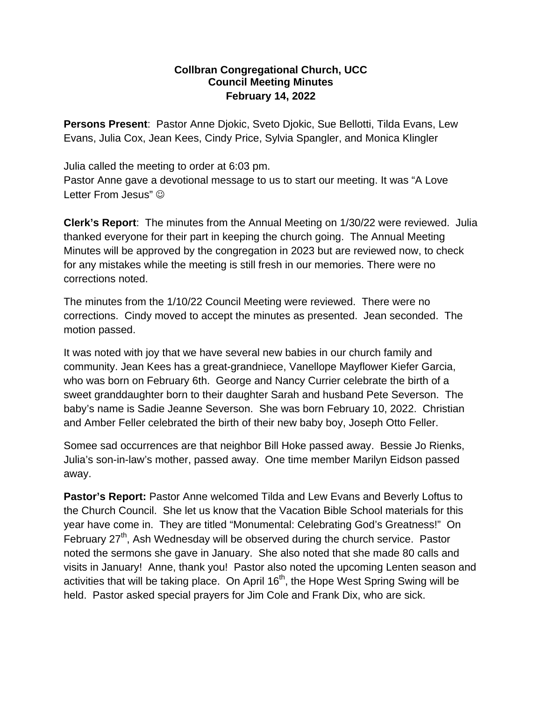## **Collbran Congregational Church, UCC Council Meeting Minutes February 14, 2022**

**Persons Present**: Pastor Anne Djokic, Sveto Djokic, Sue Bellotti, Tilda Evans, Lew Evans, Julia Cox, Jean Kees, Cindy Price, Sylvia Spangler, and Monica Klingler

Julia called the meeting to order at 6:03 pm.

Pastor Anne gave a devotional message to us to start our meeting. It was "A Love Letter From Jesus"  $\odot$ 

**Clerk's Report**: The minutes from the Annual Meeting on 1/30/22 were reviewed. Julia thanked everyone for their part in keeping the church going. The Annual Meeting Minutes will be approved by the congregation in 2023 but are reviewed now, to check for any mistakes while the meeting is still fresh in our memories. There were no corrections noted.

The minutes from the 1/10/22 Council Meeting were reviewed. There were no corrections. Cindy moved to accept the minutes as presented. Jean seconded. The motion passed.

It was noted with joy that we have several new babies in our church family and community. Jean Kees has a great-grandniece, Vanellope Mayflower Kiefer Garcia, who was born on February 6th. George and Nancy Currier celebrate the birth of a sweet granddaughter born to their daughter Sarah and husband Pete Severson. The baby's name is Sadie Jeanne Severson. She was born February 10, 2022. Christian and Amber Feller celebrated the birth of their new baby boy, Joseph Otto Feller.

Somee sad occurrences are that neighbor Bill Hoke passed away. Bessie Jo Rienks, Julia's son-in-law's mother, passed away. One time member Marilyn Eidson passed away.

**Pastor's Report:** Pastor Anne welcomed Tilda and Lew Evans and Beverly Loftus to the Church Council. She let us know that the Vacation Bible School materials for this year have come in. They are titled "Monumental: Celebrating God's Greatness!" On February  $27<sup>th</sup>$ , Ash Wednesday will be observed during the church service. Pastor noted the sermons she gave in January. She also noted that she made 80 calls and visits in January! Anne, thank you! Pastor also noted the upcoming Lenten season and activities that will be taking place. On April  $16<sup>th</sup>$ , the Hope West Spring Swing will be held. Pastor asked special prayers for Jim Cole and Frank Dix, who are sick.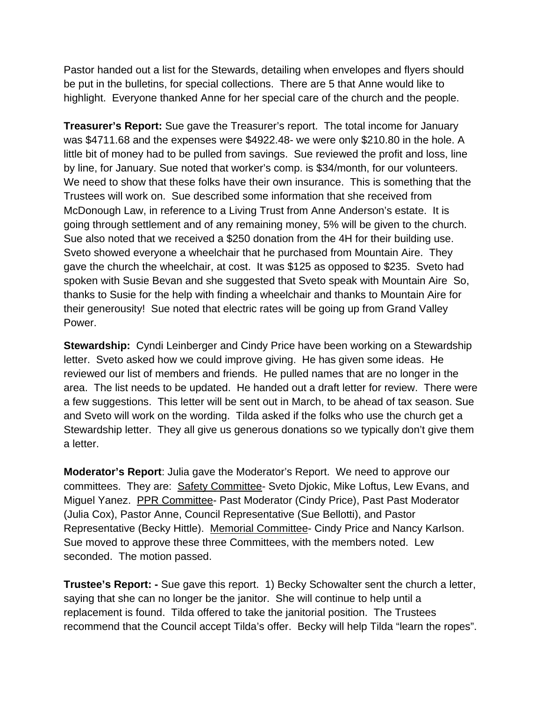Pastor handed out a list for the Stewards, detailing when envelopes and flyers should be put in the bulletins, for special collections. There are 5 that Anne would like to highlight. Everyone thanked Anne for her special care of the church and the people.

**Treasurer's Report:** Sue gave the Treasurer's report. The total income for January was \$4711.68 and the expenses were \$4922.48- we were only \$210.80 in the hole. A little bit of money had to be pulled from savings. Sue reviewed the profit and loss, line by line, for January. Sue noted that worker's comp. is \$34/month, for our volunteers. We need to show that these folks have their own insurance. This is something that the Trustees will work on. Sue described some information that she received from McDonough Law, in reference to a Living Trust from Anne Anderson's estate. It is going through settlement and of any remaining money, 5% will be given to the church. Sue also noted that we received a \$250 donation from the 4H for their building use. Sveto showed everyone a wheelchair that he purchased from Mountain Aire. They gave the church the wheelchair, at cost. It was \$125 as opposed to \$235. Sveto had spoken with Susie Bevan and she suggested that Sveto speak with Mountain Aire So, thanks to Susie for the help with finding a wheelchair and thanks to Mountain Aire for their generousity! Sue noted that electric rates will be going up from Grand Valley Power.

**Stewardship:** Cyndi Leinberger and Cindy Price have been working on a Stewardship letter. Sveto asked how we could improve giving. He has given some ideas. He reviewed our list of members and friends. He pulled names that are no longer in the area. The list needs to be updated. He handed out a draft letter for review. There were a few suggestions. This letter will be sent out in March, to be ahead of tax season. Sue and Sveto will work on the wording. Tilda asked if the folks who use the church get a Stewardship letter. They all give us generous donations so we typically don't give them a letter.

**Moderator's Report**: Julia gave the Moderator's Report. We need to approve our committees. They are: Safety Committee- Sveto Djokic, Mike Loftus, Lew Evans, and Miguel Yanez. PPR Committee- Past Moderator (Cindy Price), Past Past Moderator (Julia Cox), Pastor Anne, Council Representative (Sue Bellotti), and Pastor Representative (Becky Hittle). Memorial Committee- Cindy Price and Nancy Karlson. Sue moved to approve these three Committees, with the members noted. Lew seconded. The motion passed.

**Trustee's Report: -** Sue gave this report. 1) Becky Schowalter sent the church a letter, saying that she can no longer be the janitor. She will continue to help until a replacement is found. Tilda offered to take the janitorial position. The Trustees recommend that the Council accept Tilda's offer. Becky will help Tilda "learn the ropes".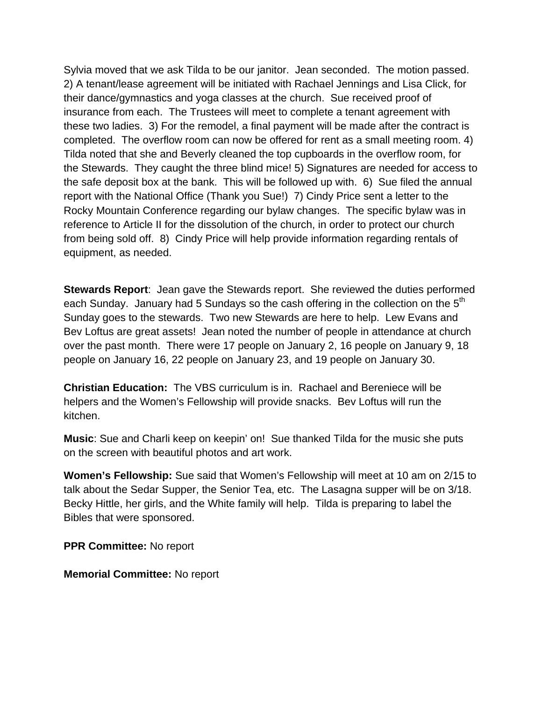Sylvia moved that we ask Tilda to be our janitor. Jean seconded. The motion passed. 2) A tenant/lease agreement will be initiated with Rachael Jennings and Lisa Click, for their dance/gymnastics and yoga classes at the church. Sue received proof of insurance from each. The Trustees will meet to complete a tenant agreement with these two ladies. 3) For the remodel, a final payment will be made after the contract is completed. The overflow room can now be offered for rent as a small meeting room. 4) Tilda noted that she and Beverly cleaned the top cupboards in the overflow room, for the Stewards. They caught the three blind mice! 5) Signatures are needed for access to the safe deposit box at the bank. This will be followed up with. 6) Sue filed the annual report with the National Office (Thank you Sue!) 7) Cindy Price sent a letter to the Rocky Mountain Conference regarding our bylaw changes. The specific bylaw was in reference to Article II for the dissolution of the church, in order to protect our church from being sold off. 8) Cindy Price will help provide information regarding rentals of equipment, as needed.

**Stewards Report**: Jean gave the Stewards report. She reviewed the duties performed each Sunday. January had 5 Sundays so the cash offering in the collection on the 5<sup>th</sup> Sunday goes to the stewards. Two new Stewards are here to help. Lew Evans and Bev Loftus are great assets! Jean noted the number of people in attendance at church over the past month. There were 17 people on January 2, 16 people on January 9, 18 people on January 16, 22 people on January 23, and 19 people on January 30.

**Christian Education:** The VBS curriculum is in. Rachael and Bereniece will be helpers and the Women's Fellowship will provide snacks. Bev Loftus will run the kitchen.

**Music**: Sue and Charli keep on keepin' on! Sue thanked Tilda for the music she puts on the screen with beautiful photos and art work.

**Women's Fellowship:** Sue said that Women's Fellowship will meet at 10 am on 2/15 to talk about the Sedar Supper, the Senior Tea, etc. The Lasagna supper will be on 3/18. Becky Hittle, her girls, and the White family will help. Tilda is preparing to label the Bibles that were sponsored.

**PPR Committee:** No report

**Memorial Committee:** No report